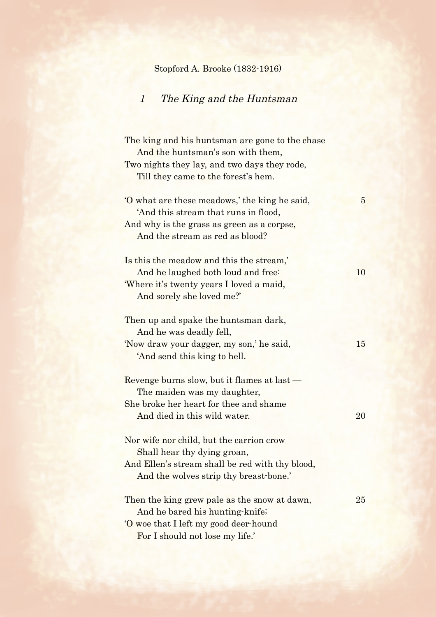## Stopford A. Brooke (1832-1916)

## 1 The King and the Huntsman

| The king and his huntsman are gone to the chase<br>And the huntsman's son with them,     |                 |
|------------------------------------------------------------------------------------------|-----------------|
| Two nights they lay, and two days they rode,<br>Till they came to the forest's hem.      |                 |
| O what are these meadows, the king he said,<br>'And this stream that runs in flood,      | $5\overline{)}$ |
| And why is the grass as green as a corpse,<br>And the stream as red as blood?            |                 |
| Is this the meadow and this the stream,'<br>And he laughed both loud and free:           | 10              |
| 'Where it's twenty years I loved a maid,                                                 |                 |
| And sorely she loved me?'                                                                |                 |
| Then up and spake the huntsman dark,<br>And he was deadly fell,                          |                 |
| 'Now draw your dagger, my son,' he said,<br>'And send this king to hell.                 | 15              |
| Revenge burns slow, but it flames at last —<br>The maiden was my daughter,               |                 |
| She broke her heart for thee and shame<br>And died in this wild water.                   | 20              |
| Nor wife nor child, but the carrion crow<br>Shall hear thy dying groan,                  |                 |
| And Ellen's stream shall be red with thy blood,<br>And the wolves strip thy breast-bone. |                 |
| Then the king grew pale as the snow at dawn,<br>And he bared his hunting-knife;          | 25              |
| O woe that I left my good deer-hound                                                     |                 |
| For I should not lose my life.'                                                          |                 |